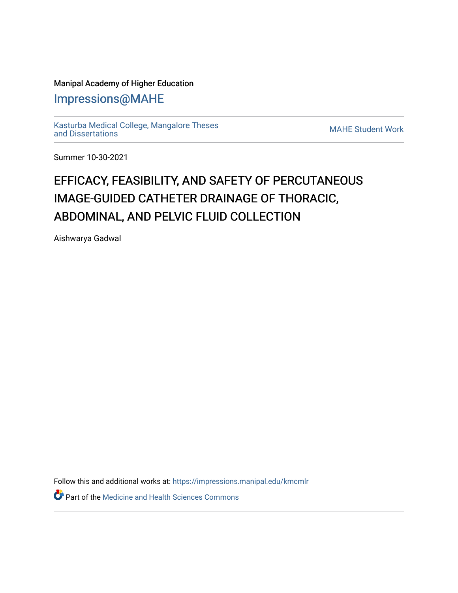#### Manipal Academy of Higher Education

### [Impressions@MAHE](https://impressions.manipal.edu/)

[Kasturba Medical College, Mangalore Theses](https://impressions.manipal.edu/kmcmlr) [and Dissertations](https://impressions.manipal.edu/kmcmlr) [MAHE Student Work](https://impressions.manipal.edu/student-work) 

Summer 10-30-2021

# EFFICACY, FEASIBILITY, AND SAFETY OF PERCUTANEOUS IMAGE-GUIDED CATHETER DRAINAGE OF THORACIC, ABDOMINAL, AND PELVIC FLUID COLLECTION

Aishwarya Gadwal

Follow this and additional works at: [https://impressions.manipal.edu/kmcmlr](https://impressions.manipal.edu/kmcmlr?utm_source=impressions.manipal.edu%2Fkmcmlr%2F241&utm_medium=PDF&utm_campaign=PDFCoverPages) 

**Part of the Medicine and Health Sciences Commons**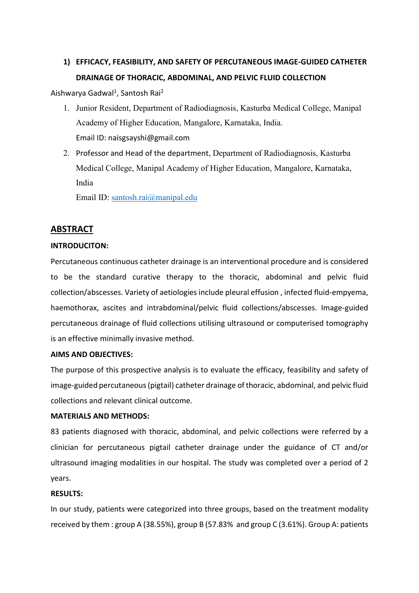## 1) EFFICACY, FEASIBILITY, AND SAFETY OF PERCUTANEOUS IMAGE-GUIDED CATHETER DRAINAGE OF THORACIC, ABDOMINAL, AND PELVIC FLUID COLLECTION

Aishwarya Gadwal<sup>1</sup>, Santosh Rai<sup>2</sup>

- 1. Junior Resident, Department of Radiodiagnosis, Kasturba Medical College, Manipal Academy of Higher Education, Mangalore, Karnataka, India. Email ID: naisgsayshi@gmail.com
- 2. Professor and Head of the department, Department of Radiodiagnosis, Kasturba Medical College, Manipal Academy of Higher Education, Mangalore, Karnataka, India

Email ID: santosh.rai@manipal.edu

#### **ABSTRACT**

#### INTRODUCITON:

Percutaneous continuous catheter drainage is an interventional procedure and is considered to be the standard curative therapy to the thoracic, abdominal and pelvic fluid collection/abscesses. Variety of aetiologies include pleural effusion , infected fluid-empyema, haemothorax, ascites and intrabdominal/pelvic fluid collections/abscesses. Image-guided percutaneous drainage of fluid collections utilising ultrasound or computerised tomography is an effective minimally invasive method.

#### AIMS AND OBJECTIVES:

The purpose of this prospective analysis is to evaluate the efficacy, feasibility and safety of image-guided percutaneous (pigtail) catheter drainage of thoracic, abdominal, and pelvic fluid collections and relevant clinical outcome.

#### MATERIALS AND METHODS:

83 patients diagnosed with thoracic, abdominal, and pelvic collections were referred by a clinician for percutaneous pigtail catheter drainage under the guidance of CT and/or ultrasound imaging modalities in our hospital. The study was completed over a period of 2 years.

#### RESULTS:

In our study, patients were categorized into three groups, based on the treatment modality received by them : group A (38.55%), group B (57.83% and group C (3.61%). Group A: patients